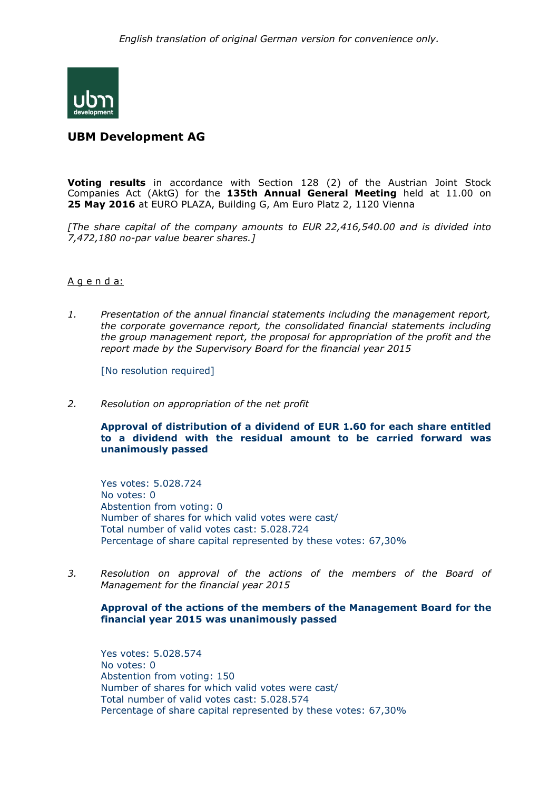

## **UBM Development AG**

**Voting results** in accordance with Section 128 (2) of the Austrian Joint Stock Companies Act (AktG) for the **135th Annual General Meeting** held at 11.00 on **25 May 2016** at EURO PLAZA, Building G, Am Euro Platz 2, 1120 Vienna

*[The share capital of the company amounts to EUR 22,416,540.00 and is divided into 7,472,180 no-par value bearer shares.]*

## A g e n d a:

*1. Presentation of the annual financial statements including the management report, the corporate governance report, the consolidated financial statements including the group management report, the proposal for appropriation of the profit and the report made by the Supervisory Board for the financial year 2015*

[No resolution required]

*2. Resolution on appropriation of the net profit*

**Approval of distribution of a dividend of EUR 1.60 for each share entitled to a dividend with the residual amount to be carried forward was unanimously passed**

Yes votes: 5.028.724 No votes: 0 [Abstention](http://www.dict.cc/englisch-deutsch/abstention.html) [from](http://www.dict.cc/englisch-deutsch/from.html) [voting:](http://www.dict.cc/englisch-deutsch/voting.html) 0 Number of shares for which valid votes were cast/ Total number of valid votes cast: 5.028.724 Percentage of share capital represented by these votes: 67,30%

*3. Resolution on approval of the actions of the members of the Board of Management for the financial year 2015*

## **Approval of the actions of the members of the Management Board for the financial year 2015 was unanimously passed**

Yes votes: 5.028.574 No votes: 0 [Abstention](http://www.dict.cc/englisch-deutsch/abstention.html) [from](http://www.dict.cc/englisch-deutsch/from.html) [voting:](http://www.dict.cc/englisch-deutsch/voting.html) 150 Number of shares for which valid votes were cast/ Total number of valid votes cast: 5.028.574 Percentage of share capital represented by these votes: 67,30%